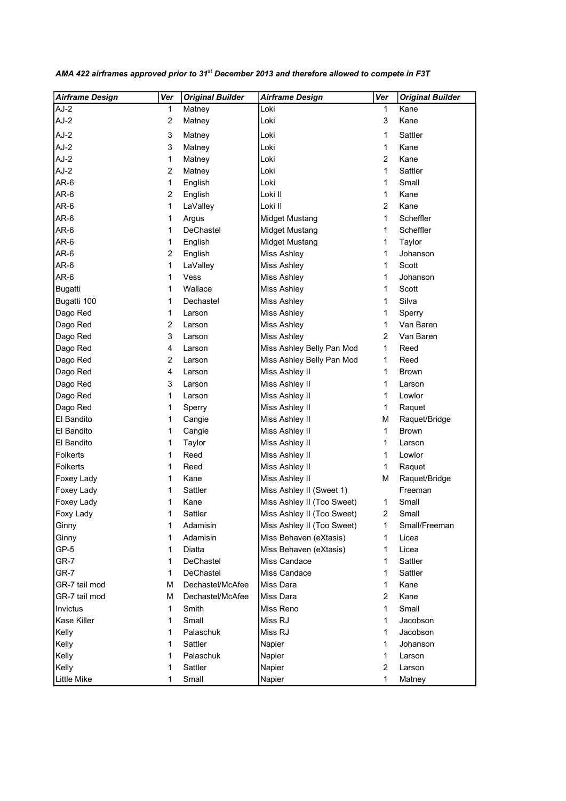| <b>Airframe Design</b> | Ver            | <b>Original Builder</b> | <b>Airframe Design</b>     | Ver            | <b>Original Builder</b> |
|------------------------|----------------|-------------------------|----------------------------|----------------|-------------------------|
| AJ-2                   | $\mathbf{1}$   | Matney                  | Loki                       | 1              | Kane                    |
| $AJ-2$                 | 2              | Matney                  | Loki                       | 3              | Kane                    |
| $AJ-2$                 | 3              | Matney                  | Loki                       | 1              | Sattler                 |
| $AJ-2$                 | 3              | Matney                  | Loki                       | 1              | Kane                    |
| $AJ-2$                 | 1              | Matney                  | Loki                       | $\overline{2}$ | Kane                    |
| $AJ-2$                 | 2              | Matney                  | Loki                       | 1              | Sattler                 |
| AR-6                   | 1              | English                 | Loki                       | 1              | Small                   |
| AR-6                   | $\overline{2}$ | English                 | Loki II                    | 1              | Kane                    |
| AR-6                   | 1              | LaValley                | Loki II                    | $\overline{2}$ | Kane                    |
| AR-6                   | 1              | Argus                   | <b>Midget Mustang</b>      | $\mathbf{1}$   | Scheffler               |
| AR-6                   | 1              | <b>DeChastel</b>        | Midget Mustang             | 1              | Scheffler               |
| AR-6                   | 1              | English                 | Midget Mustang             | 1              | Taylor                  |
| AR-6                   | 2              | English                 | Miss Ashley                | 1              | Johanson                |
| AR-6                   | 1              | LaValley                | Miss Ashley                | 1              | Scott                   |
| AR-6                   | 1              | Vess                    | <b>Miss Ashley</b>         | 1              | Johanson                |
| <b>Bugatti</b>         | 1              | Wallace                 | Miss Ashley                | 1              | Scott                   |
| Bugatti 100            | 1              | Dechastel               | <b>Miss Ashley</b>         | 1              | Silva                   |
| Dago Red               | 1              | Larson                  | Miss Ashley                | 1              | Sperry                  |
| Dago Red               | 2              | Larson                  | Miss Ashley                | 1              | Van Baren               |
| Dago Red               | 3              | Larson                  | <b>Miss Ashley</b>         | 2              | Van Baren               |
| Dago Red               | 4              | Larson                  | Miss Ashley Belly Pan Mod  | 1              | Reed                    |
| Dago Red               | 2              | Larson                  | Miss Ashley Belly Pan Mod  | 1              | Reed                    |
| Dago Red               | 4              | Larson                  | Miss Ashley II             | 1              | <b>Brown</b>            |
| Dago Red               | 3              | Larson                  | Miss Ashley II             | 1              | Larson                  |
| Dago Red               | 1              | Larson                  | Miss Ashley II             | 1              | Lowlor                  |
| Dago Red               | 1              | Sperry                  | Miss Ashley II             | 1              | Raquet                  |
| El Bandito             | 1              | Cangie                  | Miss Ashley II             | М              | Raquet/Bridge           |
| El Bandito             | 1              | Cangie                  | Miss Ashley II             | 1              | <b>Brown</b>            |
| El Bandito             | 1              | Taylor                  | Miss Ashley II             | 1              | Larson                  |
| Folkerts               | 1              | Reed                    | Miss Ashley II             | 1              | Lowlor                  |
| Folkerts               | 1              | Reed                    | Miss Ashley II             | 1              | Raquet                  |
| <b>Foxey Lady</b>      | 1              | Kane                    | Miss Ashley II             | M              | Raquet/Bridge           |
| Foxey Lady             | 1              | Sattler                 | Miss Ashley II (Sweet 1)   |                | Freeman                 |
| Foxey Lady             | 1              | Kane                    | Miss Ashley II (Too Sweet) | 1              | Small                   |
| Foxy Lady              | 1              | Sattler                 | Miss Ashley II (Too Sweet) | 2              | Small                   |
| Ginny                  | 1              | Adamisin                | Miss Ashley II (Too Sweet) | 1              | Small/Freeman           |
| Ginny                  | 1              | Adamisin                | Miss Behaven (eXtasis)     | 1              | Licea                   |
| $GP-5$                 | 1              | Diatta                  | Miss Behaven (eXtasis)     | 1              | Licea                   |
| GR-7                   | 1              | DeChastel               | Miss Candace               | 1              | Sattler                 |
| GR-7                   | 1              | DeChastel               | Miss Candace               | 1              | Sattler                 |
| GR-7 tail mod          | М              | Dechastel/McAfee        | Miss Dara                  | 1              | Kane                    |
| GR-7 tail mod          | М              | Dechastel/McAfee        | Miss Dara                  | 2              | Kane                    |
| Invictus               | 1              | Smith                   | Miss Reno                  | 1              | Small                   |
| Kase Killer            | 1              | Small                   | Miss RJ                    | 1              | Jacobson                |
| Kelly                  | 1              | Palaschuk               | Miss RJ                    | 1              | Jacobson                |
| Kelly                  | 1              | Sattler                 | Napier                     | 1              | Johanson                |
| Kelly                  | 1              | Palaschuk               | Napier                     | 1              | Larson                  |
| Kelly                  | 1              | Sattler                 | Napier                     | $\overline{2}$ | Larson                  |
| <b>Little Mike</b>     | 1              | Small                   | Napier                     | 1              | Matney                  |

AMA 422 airframes approved prior to 31<sup>st</sup> December 2013 and therefore allowed to compete in F3T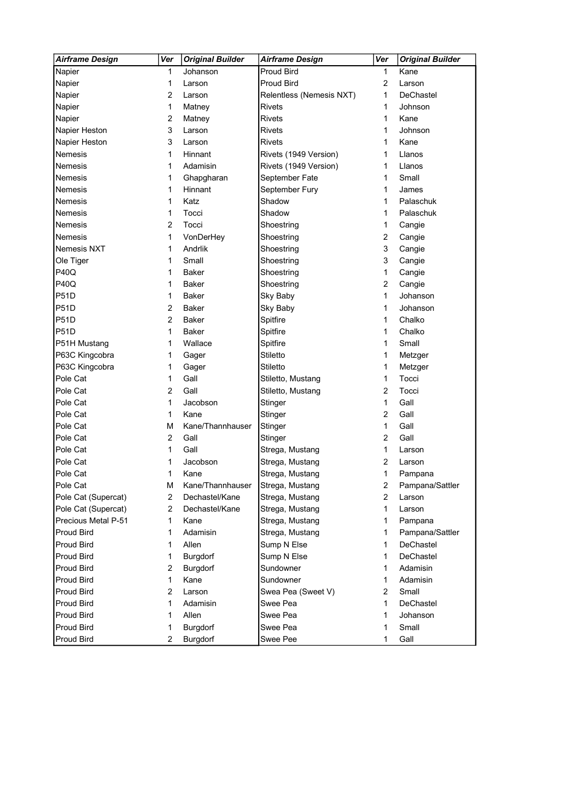| <b>Proud Bird</b><br>Kane<br>Napier<br>Johanson<br>1<br>1<br>$\overline{2}$<br>Napier<br>1<br>Proud Bird<br>Larson<br>Larson<br>DeChastel<br>Napier<br>2<br>Relentless (Nemesis NXT)<br>1<br>Larson<br>Napier<br>1<br>Rivets<br>Johnson<br>Matney<br>1 |   |
|--------------------------------------------------------------------------------------------------------------------------------------------------------------------------------------------------------------------------------------------------------|---|
|                                                                                                                                                                                                                                                        |   |
|                                                                                                                                                                                                                                                        |   |
|                                                                                                                                                                                                                                                        |   |
|                                                                                                                                                                                                                                                        |   |
| Napier<br><b>Rivets</b><br>Kane<br>Matney<br>1                                                                                                                                                                                                         | 2 |
| 3<br><b>Rivets</b><br>Napier Heston<br>Larson<br>Johnson<br>1                                                                                                                                                                                          |   |
| Napier Heston<br>3<br>Rivets<br>Kane<br>1<br>Larson                                                                                                                                                                                                    |   |
| Nemesis<br>1<br>Rivets (1949 Version)<br>Hinnant<br>1<br>Llanos                                                                                                                                                                                        |   |
| Nemesis<br>Adamisin<br>Rivets (1949 Version)<br>1<br>1<br>Llanos                                                                                                                                                                                       |   |
| Ghapgharan<br>September Fate<br>Small<br>Nemesis<br>1<br>1                                                                                                                                                                                             |   |
| Nemesis<br>Hinnant<br>September Fury<br>1<br>1<br>James                                                                                                                                                                                                |   |
| Nemesis<br>Katz<br>Shadow<br>Palaschuk<br>1<br>1                                                                                                                                                                                                       |   |
| Nemesis<br>1<br>Tocci<br>Shadow<br>Palaschuk<br>1                                                                                                                                                                                                      |   |
| 2<br>Nemesis<br>Tocci<br>Cangie<br>Shoestring<br>1                                                                                                                                                                                                     |   |
| <b>Nemesis</b><br>1<br>VonDerHey<br>$\overline{c}$<br>Cangie<br>Shoestring                                                                                                                                                                             |   |
| Nemesis NXT<br>Andrlik<br>1<br>3<br>Cangie<br>Shoestring                                                                                                                                                                                               |   |
| Ole Tiger<br>Small<br>Shoestring<br>3<br>Cangie<br>1                                                                                                                                                                                                   |   |
| <b>P40Q</b><br><b>Baker</b><br>Shoestring<br>Cangie<br>1<br>1                                                                                                                                                                                          |   |
| <b>P40Q</b><br><b>Baker</b><br>Shoestring<br>2<br>Cangie<br>1                                                                                                                                                                                          |   |
| <b>P51D</b><br>Johanson<br>1<br><b>Baker</b><br>Sky Baby<br>1                                                                                                                                                                                          |   |
| <b>P51D</b><br>2<br><b>Baker</b><br>Sky Baby<br>1<br>Johanson                                                                                                                                                                                          |   |
| <b>P51D</b><br>$\overline{2}$<br>Chalko<br><b>Baker</b><br>Spitfire<br>1                                                                                                                                                                               |   |
| <b>P51D</b><br>1<br><b>Baker</b><br>Spitfire<br>1<br>Chalko                                                                                                                                                                                            |   |
| P51H Mustang<br>Wallace<br>Spitfire<br>1<br>Small<br>1                                                                                                                                                                                                 |   |
| P63C Kingcobra<br>Stiletto<br>1<br>Gager<br>1<br>Metzger                                                                                                                                                                                               |   |
| P63C Kingcobra<br>Gager<br>Stiletto<br>1<br>1<br>Metzger                                                                                                                                                                                               |   |
| Pole Cat<br>Gall<br>Tocci<br>1<br>Stiletto, Mustang<br>1                                                                                                                                                                                               |   |
| Gall<br>Tocci<br>Pole Cat<br>2<br>Stiletto, Mustang<br>2                                                                                                                                                                                               |   |
| Gall<br>Pole Cat<br>1<br>Jacobson<br>1<br>Stinger                                                                                                                                                                                                      |   |
| Gall<br>Pole Cat<br>1<br>Kane<br>2<br>Stinger                                                                                                                                                                                                          |   |
| Pole Cat<br>Gall<br>M<br>Kane/Thannhauser<br>1<br>Stinger                                                                                                                                                                                              |   |
| Pole Cat<br>$\overline{c}$<br>Gall<br>Gall<br>Stinger<br>2                                                                                                                                                                                             |   |
| Pole Cat<br>Gall<br>Strega, Mustang<br>1<br>1<br>Larson                                                                                                                                                                                                |   |
| Pole Cat<br>Jacobson<br>Strega, Mustang<br>2<br>1<br>Larson                                                                                                                                                                                            |   |
| Pole Cat<br>1<br>1<br>Kane<br>Strega, Mustang<br>Pampana                                                                                                                                                                                               |   |
| Kane/Thannhauser<br>Pole Cat<br>M<br>Strega, Mustang<br>2<br>Pampana/Sattler                                                                                                                                                                           |   |
| Pole Cat (Supercat)<br>$\overline{c}$<br>Dechastel/Kane<br>$\overline{2}$<br>Strega, Mustang<br>Larson                                                                                                                                                 |   |
| Pole Cat (Supercat)<br>$\overline{c}$<br>Dechastel/Kane<br>Strega, Mustang<br>1<br>Larson                                                                                                                                                              |   |
| Precious Metal P-51<br>1<br>Kane<br>Strega, Mustang<br>Pampana<br>1                                                                                                                                                                                    |   |
| <b>Proud Bird</b><br>Adamisin<br>Strega, Mustang<br>Pampana/Sattler<br>1<br>1                                                                                                                                                                          |   |
| <b>Proud Bird</b><br>Allen<br>Sump N Else<br>DeChastel<br>1<br>1                                                                                                                                                                                       |   |
| Proud Bird<br>Sump N Else<br>DeChastel<br>Burgdorf<br>1<br>1                                                                                                                                                                                           |   |
| Sundowner<br>Proud Bird<br>2<br>Burgdorf<br>Adamisin<br>1                                                                                                                                                                                              |   |
| <b>Proud Bird</b><br>Kane<br>Sundowner<br>1<br>1<br>Adamisin                                                                                                                                                                                           |   |
| <b>Proud Bird</b><br>Swea Pea (Sweet V)<br>$\overline{c}$<br>Larson<br>$\overline{2}$<br>Small                                                                                                                                                         |   |
| <b>Proud Bird</b><br>Swee Pea<br>DeChastel<br>Adamisin<br>1<br>1                                                                                                                                                                                       |   |
| Proud Bird<br>Allen<br>Swee Pea<br>1<br>Johanson<br>1                                                                                                                                                                                                  |   |
| <b>Proud Bird</b><br>1<br>Burgdorf<br>Swee Pea<br>1<br>Small                                                                                                                                                                                           |   |
| <b>Proud Bird</b><br>$\overline{c}$<br>Burgdorf<br>Swee Pee<br>1<br>Gall                                                                                                                                                                               |   |